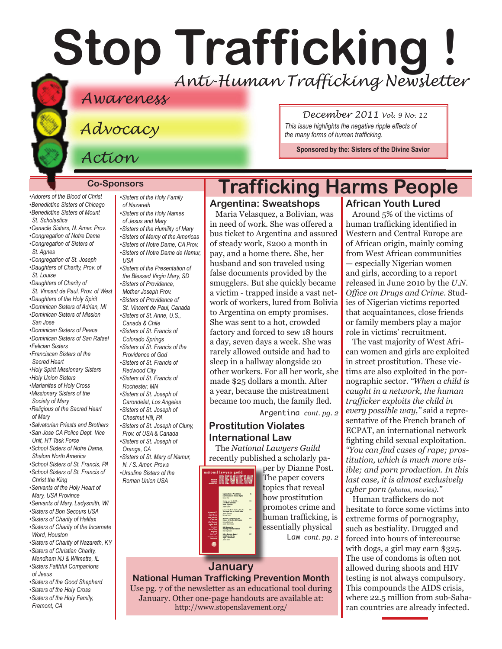# **Stop Trafficking !** *Anti-Human Trafficking Newsletter*

#### *Awareness*

*Advocacy*

*Action*

#### **Co-Sponsors**

*[•Adorers of the Blood of Christ](http://www.adorers.org/) [•Benedictine Sisters of Chicago](http://www.osbchicago.org/index.htm) [•Benedictine Sisters of Mount](http://www.mountosb.org/index.html)  [St. Scholastica](http://www.mountosb.org/index.html)*

- *[•Cenacle Sisters, N. Amer. Prov.](http://www.cenaclesisters.org/)*
- *[•Congregation of Notre Dame](http://www.cnd-m.com/index.html)*
- *[•Congregation of Sisters of](http://www.csasisters.org/)  [St. Agnes](http://www.csasisters.org/)*
- *[•Congregation of St. Joseph](http://www.scjoseph.org) [•Daughters of Charity, Prov. of](http://www.thedaughtersofcharity.org/)  [St. Louise](http://www.thedaughtersofcharity.org/)*
- *[•Daughters of Charity of](http://www.daughtersofcharity.com)  [St. Vincent de Paul, Prov. of West](http://www.daughtersofcharity.com)*
- *•[Daughters of the Holy Spirit](http://www.daughtersoftheholyspirit.org/ )*
- *[•Dominican Sisters of Adrian, MI]( http://www.adriandominicans.org/ ) [•Dominican Sisters of Mission](http://www.msjdominicans.org/)*
- *[San Jose](http://www.msjdominicans.org/)*
- *[•Dominican Sisters of Peace](http://www.oppeace.org/ )*
- *[•Dominican Sisters of San Rafael](http://www.sanrafaelop.org/)*
- *[•Felician](http://www.feliciansisters.org) Sisters*
- *[•Franciscan Sisters of](http://www.fssh.com/) the Sacred Heart*
- *[•Holy Spirit Missionary Sisters]( http://www.ssps-usa.org) [•Holy Union Sisters](http://www.holyunionsisters.org/)*
- *[•Marianites of Holy Cross](http://www.marianites.org/)*
- *[•Missionary Sisters of the]( http://www.maristmissionarysmsm.org/)  [Society of Mary]( http://www.maristmissionarysmsm.org/)*
- *[•Religious of the Sacred Heart](http://www.rshm.org)  [of Mary](http://www.rshm.org)*
- *[•Salvatorian Priests and Brothers]( http://www.salvatorians.org)*
- *[•San Jose CA Police Dept. Vice](http://www.sjpd.org/stopht)  [Unit, HT Task Force](http://www.sjpd.org/stopht) [•School Sisters of Notre Dame,](http://www.ssnd.org/central-pacific)*
- *Shalom North America [•School Sisters of St. Francis, PA]( http://www.schoolsistersosf.org)*
- *[•School Sisters of St. Francis of](http://www.lemontfranciscans.org/)*
- *[Christ the King](http://www.lemontfranciscans.org/) [•Servants of the Holy Heart of](http://www.sscm-usa.org/)*
- *[Mary, USA Province](http://www.sscm-usa.org/)*
- *[•Servants of Mary, Ladysmith, WI](http://servitesisters.org) [•Sisters of Bon Secours USA](http://www.bonsecours.org/us)*
- *[•Sisters of Charity of Halifax](http://www.schalifax.ca)*
- *[•Sisters of Charity of the Incarnate](http://www.sistersofcharity.org)  [Word, Houston](http://www.sistersofcharity.org)*
- *[•Sisters of Charity of Nazareth, KY](http://www.scnfamily.org/) •Sisters of [Christian Charity,](http://www.scceast.org)*
- *[Mendham](http://www.scceast.org) NJ [& Wilmette, IL](http://www.sccwilmette.org)  [•Sisters Faithful Companions](http://www.fcjsisters.org)  [of Jesus](http://www.fcjsisters.org)*
- *[•Sisters of the Good Shepherd]( http://www.goodshepherdsisters.org/)*
- *[•Sisters of the Holy Cross](http://www.cscsisters.org/)*
- *[•Sisters of the Holy Family,](http://www.holyfamilysisters.org/)  [Fremont, CA](http://www.holyfamilysisters.org/)*

*•[Sisters of the Holy Family](http://www.nazarethcsfn.org/)  [of Nazareth](http://www.nazarethcsfn.org/) [•Sisters of the Holy Names](http://www.snjm.org/)  [of Jesus and Mary](http://www.snjm.org/) [•Sisters of the Humility of Mary](http://www.humilityofmary.org) •[Sisters of Mercy of the Americas](http://www.sistersofmercy.org/) •[Sisters of Notre Dame, CA Prov](http://www.sndca.org/). [•Sisters of Notre Dame](http://www.sndden.org/) de Namur, USA •[Sisters of the Presentation of](http://www.presentationsisters.org/)* 

*[the Blessed Virgin Mary, SD](http://www.presentationsisters.org/) [•Sisters of Providence,](http://www.sistersofprovidence.net)  [Mother Joseph Prov.](http://www.sistersofprovidence.net) [•Sisters of Providence of](http://www.providence.ca)  [St. Vincent de Paul, Canada](http://www.providence.ca) [•Sisters of St. Anne, U.S.,](http://sistersofsaintanne.org/)  [Canada & Chile](http://sistersofsaintanne.org/) [•Sisters of St. Francis of](http://www.stfrancis.org)* 

*[Colorado Springs](http://www.stfrancis.org) •[Sisters of St. Francis of the](http://www.osfprov.org/)* 

- *[Providence of God](http://www.osfprov.org/)*
- *[•Sisters of St. Francis of](http://www.stfrancisprovince.org)*
- *[Redwood City](http://www.stfrancisprovince.org) •[Sisters of St. Francis of](http://www.rochesterfranciscan.org/)*
- *[Rochester, MN](http://www.rochesterfranciscan.org/)*
- *[•Sisters of St. Joseph of](http://www.csjla.org)*
- *[Carondelet, Los Angeles](http://www.csjla.org) [•Sisters of St. Joseph of](http://www.ssjphila.org/)*
- *Chestnut Hill, PA*
- *•[Sisters of St. Joseph of Cluny,]( http://www.clunyusandcanada.org )  [Prov. of USA & Canada]( http://www.clunyusandcanada.org )*
- *[•Sisters of St. Joseph of](http://www.sistersofstjosephorange.org/)  [Orange, CA](http://www.sistersofstjosephorange.org/)*
- *•[Sisters of St. Mary of Namur,](http://www.ssmn-e.com)  [N. / S. Amer. Prov.s](http://www.ssmn-e.com)*
- *•[Ursuline Sisters of the](http://usaromanunionursulines.org/)  [Roman Union USA](http://usaromanunionursulines.org/)*

# **Prostitution Violates International Law**

The *National Lawyers Guild* recently published a scholarly pa-

> per by Dianne Post. The paper covers topics that reveal how prostitution promotes crime and human trafficking, is essentially physical Law *cont. pg. 2*

#### **January**

**National Human Trafficking Prevention Month**  Use pg. 7 of the newsletter as an educational tool during January. Other one-page handouts are available at: http://www.stopenslavement.org/

#### *December 2011 Vol. 9 No. 12*

*This issue highlights the negative ripple effects of the many forms of human trafficking.*

**Sponsored by the: [Sisters of the Divine Savior](http://sdssisters.org)**

#### **Trafficking Harms People African Youth Lured**

#### **Argentina: Sweatshops**

Maria Velasquez, a Bolivian, was in need of work. She was offered a bus ticket to Argentina and assured of steady work, \$200 a month in pay, and a home there. She, her husband and son traveled using false documents provided by the smugglers. But she quickly became a victim - trapped inside a vast network of workers, lured from Bolivia to Argentina on empty promises. She was sent to a hot, crowded factory and forced to sew 18 hours a day, seven days a week. She was rarely allowed outside and had to sleep in a hallway alongside 20 other workers. For all her work, she made \$25 dollars a month. After a year, because the mistreatment became too much, the family fled.

Argentina *cont. pg. 2*

#### *Office on Drugs and Crime*. Studies of Nigerian victims reported that acquaintances, close friends or family members play a major

role in victims' recruitment. The vast majority of West African women and girls are exploited in street prostitution. These victims are also exploited in the pornographic sector. *"When a child is caught in a network, the human trafficker exploits the child in every possible way,"* said a representative of the French branch of ECPAT, an international network fighting child sexual exploitation. *"You can find cases of rape; prostitution, which is much more visible; and porn production. In this last case, it is almost exclusively cyber porn (photos, movies)."* 

Around 5% of the victims of human trafficking identified in Western and Central Europe are of African origin, mainly coming from West African communities — especially Nigerian women and girls, according to a report released in June 2010 by the *U.N.* 

Human traffickers do not hesitate to force some victims into extreme forms of pornography, such as bestiality. Drugged and forced into hours of intercourse with dogs, a girl may earn \$325. The use of condoms is often not allowed during shoots and HIV testing is not always compulsory. This compounds the AIDS crisis, where 22.5 million from sub-Saharan countries are already infected.

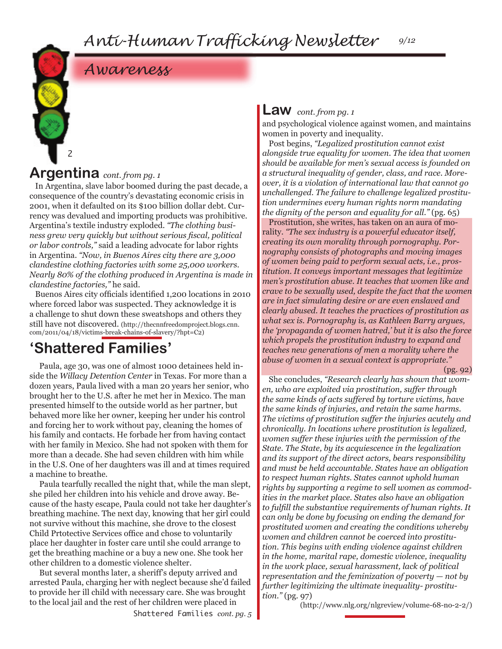# *Awareness*

### **Argentina** *cont. from pg. 1*

2

In Argentina, slave labor boomed during the past decade, a consequence of the country's devastating economic crisis in 2001, when it defaulted on its \$100 billion dollar debt. Currency was devalued and importing products was prohibitive. Argentina's textile industry exploded. *"The clothing business grew very quickly but without serious fiscal, political or labor controls,"* said a leading advocate for labor rights in Argentina. *"Now, in Buenos Aires city there are 3,000 clandestine clothing factories with some 25,000 workers. Nearly 80% of the clothing produced in Argentina is made in clandestine factories,"* he said.

Buenos Aires city officials identified 1,200 locations in 2010 where forced labor was suspected. They acknowledge it is a challenge to shut down these sweatshops and others they still have not discovered. (http://thecnnfreedomproject.blogs.cnn. com/2011/04/18/victims-break-chains-of-slavery/?hpt=C2)

### **'Shattered Families'**

Paula, age 30, was one of almost 1000 detainees held inside the *Willacy Detention Center* in Texas. For more than a dozen years, Paula lived with a man 20 years her senior, who brought her to the U.S. after he met her in Mexico. The man presented himself to the outside world as her partner, but behaved more like her owner, keeping her under his control and forcing her to work without pay, cleaning the homes of his family and contacts. He forbade her from having contact with her family in Mexico. She had not spoken with them for more than a decade. She had seven children with him while in the U.S. One of her daughters was ill and at times required a machine to breathe.

Paula tearfully recalled the night that, while the man slept, she piled her children into his vehicle and drove away. Because of the hasty escape, Paula could not take her daughter's breathing machine. The next day, knowing that her girl could not survive without this machine, she drove to the closest Child Prtotective Services office and chose to voluntarily place her daughter in foster care until she could arrange to get the breathing machine or a buy a new one. She took her other children to a domestic violence shelter.

But several months later, a sheriff's deputy arrived and arrested Paula, charging her with neglect because she'd failed to provide her ill child with necessary care. She was brought to the local jail and the rest of her children were placed in

#### **Law** *cont. from pg. 1*

and psychological violence against women, and maintains women in poverty and inequality.

Post begins, *"Legalized prostitution cannot exist alongside true equality for women. The idea that women should be available for men's sexual access is founded on a structural inequality of gender, class, and race. Moreover, it is a violation of international law that cannot go unchallenged. The failure to challenge legalized prostitution undermines every human rights norm mandating the dignity of the person and equality for all."* (pg. 65)

Prostitution, she writes, has taken on an aura of morality. *"The sex industry is a powerful educator itself, creating its own morality through pornography. Pornography consists of photographs and moving images of women being paid to perform sexual acts, i.e., prostitution. It conveys important messages that legitimize men's prostitution abuse. It teaches that women like and crave to be sexually used, despite the fact that the women are in fact simulating desire or are even enslaved and clearly abused. It teaches the practices of prostitution as what sex is. Pornography is, as Kathleen Barry argues, the 'propaganda of women hatred,' but it is also the force which propels the prostitution industry to expand and teaches new generations of men a morality where the abuse of women in a sexual context is appropriate."* 

(pg. 92)

She concludes, *"Research clearly has shown that women, who are exploited via prostitution, suffer through the same kinds of acts suffered by torture victims, have the same kinds of injuries, and retain the same harms. The victims of prostitution suffer the injuries acutely and chronically. In locations where prostitution is legalized, women suffer these injuries with the permission of the State. The State, by its acquiescence in the legalization and its support of the direct actors, bears responsibility and must be held accountable. States have an obligation to respect human rights. States cannot uphold human rights by supporting a regime to sell women as commodities in the market place. States also have an obligation to fulfill the substantive requirements of human rights. It can only be done by focusing on ending the demand for prostituted women and creating the conditions whereby women and children cannot be coerced into prostitution. This begins with ending violence against children in the home, marital rape, domestic violence, inequality in the work place, sexual harassment, lack of political representation and the feminization of poverty — not by further legitimizing the ultimate inequality- prostitution."* (pg. 97)

(http://www.nlg.org/nlgreview/volume-68-no-2-2/)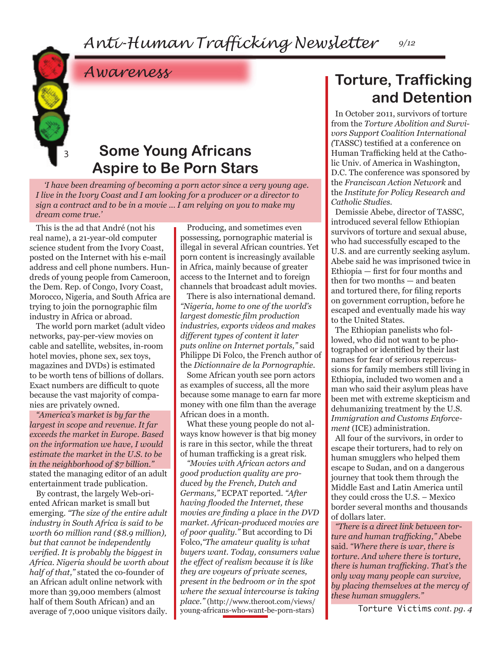3

# *Awareness*

### **Some Young Africans Aspire to Be Porn Stars**

 *'I have been dreaming of becoming a porn actor since a very young age. I live in the Ivory Coast and I am looking for a producer or a director to sign a contract and to be in a movie ... I am relying on you to make my dream come true.'*

This is the ad that André (not his real name), a 21-year-old computer science student from the Ivory Coast, posted on the Internet with his e-mail address and cell phone numbers. Hundreds of young people from Cameroon, the Dem. Rep. of Congo, Ivory Coast, Morocco, Nigeria, and South Africa are trying to join the pornographic film industry in Africa or abroad.

The world porn market (adult video networks, pay-per-view movies on cable and satellite, websites, in-room hotel movies, phone sex, sex toys, magazines and DVDs) is estimated to be worth tens of billions of dollars. Exact numbers are difficult to quote because the vast majority of companies are privately owned.

*"America's market is by far the largest in scope and revenue. It far exceeds the market in Europe. Based on the information we have, I would estimate the market in the U.S. to be in the neighborhood of \$7 billion."* stated the managing editor of an adult entertainment trade publication.

By contrast, the largely Web-oriented African market is small but emerging. *"The size of the entire adult industry in South Africa is said to be worth 60 million rand (\$8.9 million), but that cannot be independently verified. It is probably the biggest in Africa. Nigeria should be worth about half of that,"* stated the co-founder of an African adult online network with more than 39,000 members (almost half of them South African) and an average of 7,000 unique visitors daily.

Producing, and sometimes even possessing, pornographic material is illegal in several African countries. Yet porn content is increasingly available in Africa, mainly because of greater access to the Internet and to foreign channels that broadcast adult movies.

There is also international demand. *"Nigeria, home to one of the world's largest domestic film production industries, exports videos and makes different types of content it later puts online on Internet portals,"* said Philippe Di Folco, the French author of the *Dictionnaire de la Pornographie.*

Some African youth see porn actors as examples of success, all the more because some manage to earn far more money with one film than the average African does in a month.

What these young people do not always know however is that big money is rare in this sector, while the threat of human trafficking is a great risk.

*"Movies with African actors and good production quality are produced by the French, Dutch and Germans,"* ECPAT reported. *"After having flooded the Internet, these movies are finding a place in the DVD market. African-produced movies are of poor quality."* But according to Di Folco,*"The amateur quality is what buyers want. Today, consumers value the effect of realism because it is like they are voyeurs of private scenes, present in the bedroom or in the spot where the sexual intercourse is taking place."* (http://www.theroot.com/views/ young-africans-who-want-be-porn-stars)

# **Torture, Trafficking and Detention**

In October 2011, survivors of torture from the *Torture Abolition and Survivors Support Coalition International (*TASSC) testified at a conference on Human Trafficking held at the Catholic Univ. of America in Washington, D.C. The conference was sponsored by the *Franciscan Action Network* and the *Institute for Policy Research and Catholic Studies.*

Demissie Abebe, director of TASSC, introduced several fellow Ethiopian survivors of torture and sexual abuse, who had successfully escaped to the U.S. and are currently seeking asylum. Abebe said he was imprisoned twice in Ethiopia — first for four months and then for two months — and beaten and tortured there, for filing reports on government corruption, before he escaped and eventually made his way to the United States.

The Ethiopian panelists who followed, who did not want to be photographed or identified by their last names for fear of serious repercussions for family members still living in Ethiopia, included two women and a man who said their asylum pleas have been met with extreme skepticism and dehumanizing treatment by the U.S. *Immigration and Customs Enforcement* (ICE) administration.

All four of the survivors, in order to escape their torturers, had to rely on human smugglers who helped them escape to Sudan, and on a dangerous journey that took them through the Middle East and Latin America until they could cross the U.S. – Mexico border several months and thousands of dollars later.

*"There is a direct link between torture and human trafficking,"* Abebe said. *"Where there is war, there is torture. And where there is torture, there is human trafficking. That's the only way many people can survive, by placing themselves at the mercy of these human smugglers."*

Torture Victims *cont. pg. 4*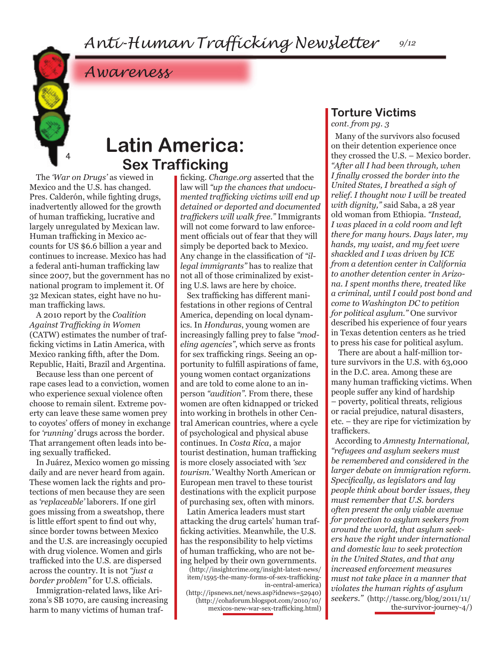4

**Latin America: Sex Trafficking**

The *'War on Drugs'* as viewed in Mexico and the U.S. has changed. Pres. Calderón, while fighting drugs, inadvertently allowed for the growth of human trafficking, lucrative and largely unregulated by Mexican law. Human trafficking in Mexico accounts for US \$6.6 billion a year and continues to increase. Mexico has had a federal anti-human trafficking law since 2007, but the government has no national program to implement it. Of 32 Mexican states, eight have no human trafficking laws.

*Awareness*

A 2010 report by the *Coalition Against Trafficking in Women*  (CATW) estimates the number of trafficking victims in Latin America, with Mexico ranking fifth, after the Dom. Republic, Haiti, Brazil and Argentina.

Because less than one percent of rape cases lead to a conviction, women who experience sexual violence often choose to remain silent. Extreme poverty can leave these same women prey to coyotes' offers of money in exchange for *'running'* drugs across the border. That arrangement often leads into being sexually trafficked.

In Juárez, Mexico women go missing daily and are never heard from again. These women lack the rights and protections of men because they are seen as *'replaceable'* laborers. If one girl goes missing from a sweatshop, there is little effort spent to find out why, since border towns between Mexico and the U.S. are increasingly occupied with drug violence. Women and girls trafficked into the U.S. are dispersed across the country. It is not *"just a border problem"* for U.S. officials.

Immigration-related laws, like Arizona's SB 1070, are causing increasing harm to many victims of human trafficking. *Change.org* asserted that the law will *"up the chances that undocumented trafficking victims will end up detained or deported and documented traffickers will walk free."* Immigrants will not come forward to law enforcement officials out of fear that they will simply be deported back to Mexico. Any change in the classification of *"illegal immigrants"* has to realize that not all of those criminalized by existing U.S. laws are here by choice.

Sex trafficking has different manifestations in other regions of Central America, depending on local dynamics. In *Honduras*, young women are increasingly falling prey to false *"modeling agencies"*, which serve as fronts for sex trafficking rings. Seeing an opportunity to fulfill aspirations of fame, young women contact organizations and are told to come alone to an inperson *"audition".* From there, these women are often kidnapped or tricked into working in brothels in other Central American countries, where a cycle of psychological and physical abuse continues. In *Costa Rica*, a major tourist destination, human trafficking is more closely associated with *'sex tourism.'* Wealthy North American or European men travel to these tourist destinations with the explicit purpose of purchasing sex, often with minors.

Latin America leaders must start attacking the drug cartels' human trafficking activities. Meanwhile, the U.S. has the responsibility to help victims of human trafficking, who are not being helped by their own governments.

(http://insightcrime.org/insight-latest-news/ item/1595-the-many-forms-of-sex-traffickingin-central-america)

(http://ipsnews.net/news.asp?idnews=52940) (http://cohaforum.blogspot.com/2010/10/ mexicos-new-war-sex-trafficking.html)

## **Torture Victims**

*cont. from pg. 3*

Many of the survivors also focused on their detention experience once they crossed the U.S. – Mexico border. *"After all I had been through, when I finally crossed the border into the United States, I breathed a sigh of relief. I thought now I will be treated with dignity," s*aid Saba, a 28 year old woman from Ethiopia. *"Instead, I was placed in a cold room and left there for many hours. Days later, my hands, my waist, and my feet were shackled and I was driven by ICE from a detention center in California to another detention center in Arizona. I spent months there, treated like a criminal, until I could post bond and come to Washington DC to petition for political asylum."* One survivor described his experience of four years in Texas detention centers as he tried to press his case for political asylum.

There are about a half-million torture survivors in the U.S. with 63,000 in the D.C. area. Among these are many human trafficking victims. When people suffer any kind of hardship – poverty, political threats, religious or racial prejudice, natural disasters, etc. – they are ripe for victimization by traffickers.

According to *Amnesty International, "refugees and asylum seekers must be remembered and considered in the larger debate on immigration reform. Specifically, as legislators and lay people think about border issues, they must remember that U.S. borders often present the only viable avenue for protection to asylum seekers from around the world, that asylum seekers have the right under international and domestic law to seek protection in the United States, and that any increased enforcement measures must not take place in a manner that violates the human rights of asylum seekers."* (http://tassc.org/blog/2011/11/ the-survivor-journey-4/)

*9/12*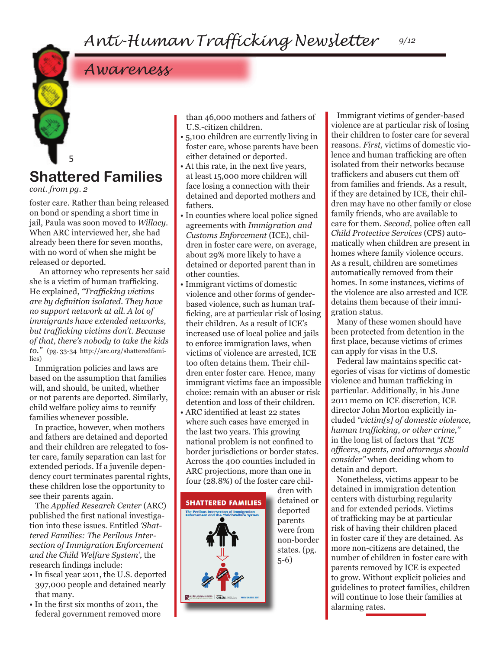# *Awareness*

### 5 **Shattered Families**

*cont. from pg. 2*

foster care. Rather than being released on bond or spending a short time in jail, Paula was soon moved to *Willacy*. When ARC interviewed her, she had already been there for seven months, with no word of when she might be released or deported.

An attorney who represents her said she is a victim of human trafficking. He explained, *"Trafficking victims are by definition isolated. They have no support network at all. A lot of immigrants have extended networks, but trafficking victims don't. Because of that, there's nobody to take the kids to."* (pg. 33-34 http://arc.org/shatteredfamilies)

Immigration policies and laws are based on the assumption that families will, and should, be united, whether or not parents are deported. Similarly, child welfare policy aims to reunify families whenever possible.

In practice, however, when mothers and fathers are detained and deported and their children are relegated to foster care, family separation can last for extended periods. If a juvenile dependency court terminates parental rights, these children lose the opportunity to see their parents again.

The *Applied Research Center* (ARC) published the first national investigation into these issues. Entitled *'Shattered Families: The Perilous Intersection of Immigration Enforcement and the Child Welfare System',* the research findings include:

- In fiscal year 2011, the U.S. deported 397,000 people and detained nearly that many.
- In the first six months of 2011, the federal government removed more

than 46,000 mothers and fathers of U.S.-citizen children.

- 5,100 children are currently living in foster care, whose parents have been either detained or deported.
- At this rate, in the next five years, at least 15,000 more children will face losing a connection with their detained and deported mothers and fathers.
- In counties where local police signed agreements with *Immigration and Customs Enforcement* (ICE), children in foster care were, on average, about 29% more likely to have a detained or deported parent than in other counties.
- Immigrant victims of domestic violence and other forms of genderbased violence, such as human trafficking, are at particular risk of losing their children. As a result of ICE's increased use of local police and jails to enforce immigration laws, when victims of violence are arrested, ICE too often detains them. Their children enter foster care. Hence, many immigrant victims face an impossible choice: remain with an abuser or risk detention and loss of their children.
- ARC identified at least 22 states where such cases have emerged in the last two years. This growing national problem is not confined to border jurisdictions or border states. Across the 400 counties included in ARC projections, more than one in four (28.8%) of the foster care chil-



dren with detained or deported parents were from non-border states. (pg. 5-6)

Immigrant victims of gender-based violence are at particular risk of losing their children to foster care for several reasons. *First,* victims of domestic violence and human trafficking are often isolated from their networks because traffickers and abusers cut them off from families and friends. As a result, if they are detained by ICE, their children may have no other family or close family friends, who are available to care for them. *Second,* police often call *Child Protective Services* (CPS) automatically when children are present in homes where family violence occurs. As a result, children are sometimes automatically removed from their homes. In some instances, victims of the violence are also arrested and ICE detains them because of their immigration status.

Many of these women should have been protected from detention in the first place, because victims of crimes can apply for visas in the U.S.

Federal law maintains specific categories of visas for victims of domestic violence and human trafficking in particular. Additionally, in his June 2011 memo on ICE discretion, ICE director John Morton explicitly included *"victim[s] of domestic violence, human trafficking, or other crime,"*  in the long list of factors that *"ICE officers, agents, and attorneys should consider"* when deciding whom to detain and deport.

Nonetheless, victims appear to be detained in immigration detention centers with disturbing regularity and for extended periods. Victims of trafficking may be at particular risk of having their children placed in foster care if they are detained. As more non-citizens are detained, the number of children in foster care with parents removed by ICE is expected to grow. Without explicit policies and guidelines to protect families, children will continue to lose their families at alarming rates.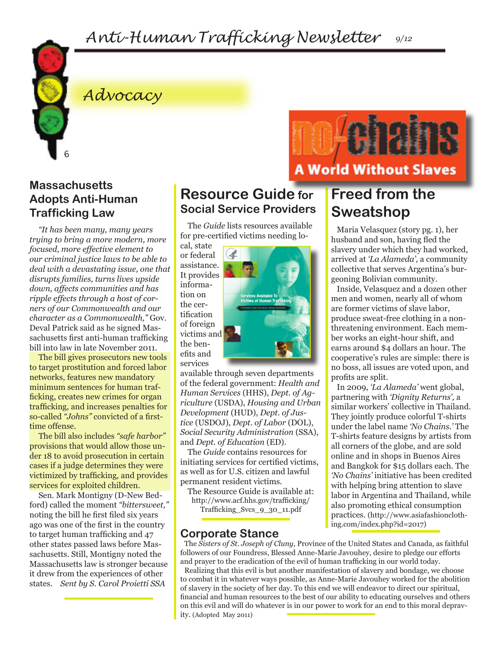*Anti-Human Trafficking Newsletter 9/12*



# *Advocacy*

#### **Massachusetts Adopts Anti-Human Trafficking Law**

*"It has been many, many years trying to bring a more modern, more focused, more effective element to our criminal justice laws to be able to deal with a devastating issue, one that disrupts families, turns lives upside down, affects communities and has ripple effects through a host of corners of our Commonwealth and our character as a Commonwealth,"* Gov. Deval Patrick said as he signed Massachusetts first anti-human trafficking bill into law in late November 2011.

The bill gives prosecutors new tools to target prostitution and forced labor networks, features new mandatory minimum sentences for human trafficking, creates new crimes for organ trafficking, and increases penalties for so-called *"Johns"* convicted of a firsttime offense.

The bill also includes *"safe harbor"*  provisions that would allow those under 18 to avoid prosecution in certain cases if a judge determines they were victimized by trafficking, and provides services for exploited children.

Sen. Mark Montigny (D-New Bedford) called the moment *"bittersweet,"*  noting the bill he first filed six years ago was one of the first in the country to target human trafficking and 47 other states passed laws before Massachusetts. Still, Montigny noted the Massachusetts law is stronger because it drew from the experiences of other states. *Sent by S. Carol Proietti SSA* 

#### **Resource Guide for Social Service Providers**

The *Guide* lists resources available for pre-certified victims needing lo-

cal, state or federal assistance. It provides information on the certification of foreign victims and the benefits and services



available through seven departments of the federal government: *Health and Human Services* (HHS), *Dept. of Agriculture* (USDA), *Housing and Urban Development* (HUD), *Dept. of Justice* (USDOJ), *Dept. of Labor* (DOL), *Social Security Administration* (SSA), and *Dept. of Education* (ED).

The *Guide* contains resources for initiating services for certified victims, as well as for U.S. citizen and lawful permanent resident victims.

The Resource Guide is available at: http://www.acf.hhs.gov/trafficking/ Trafficking\_Svcs\_9\_30\_11.pdf

#### **Corporate Stance**

The *Sisters of St. Joseph of Cluny,* Province of the United States and Canada, as faithful followers of our Foundress, Blessed Anne-Marie Javouhey, desire to pledge our efforts and prayer to the eradication of the evil of human trafficking in our world today.

Realizing that this evil is but another manifestation of slavery and bondage, we choose to combat it in whatever ways possible, as Anne-Marie Javouhey worked for the abolition of slavery in the society of her day. To this end we will endeavor to direct our spiritual, financial and human resources to the best of our ability to educating ourselves and others on this evil and will do whatever is in our power to work for an end to this moral depravity. (Adopted May 2011)

## **Freed from the Sweatshop**

**A World Without Slaves** 

Maria Velasquez (story pg. 1), her husband and son, having fled the slavery under which they had worked, arrived at *'La Alameda',* a community collective that serves Argentina's burgeoning Bolivian community.

Inside, Velasquez and a dozen other men and women, nearly all of whom are former victims of slave labor, produce sweat-free clothing in a nonthreatening environment. Each member works an eight-hour shift, and earns around \$4 dollars an hour. The cooperative's rules are simple: there is no boss, all issues are voted upon, and profits are split.

In 2009, *'La Alameda'* went global, partnering with *'Dignity Returns',* a similar workers' collective in Thailand. They jointly produce colorful T-shirts under the label name *'No Chains.'* The T-shirts feature designs by artists from all corners of the globe, and are sold online and in shops in Buenos Aires and Bangkok for \$15 dollars each. The *'No Chains'* initiative has been credited with helping bring attention to slave labor in Argentina and Thailand, while also promoting ethical consumption practices. (http://www.asiafashionclothing.com/index.php?id=2017)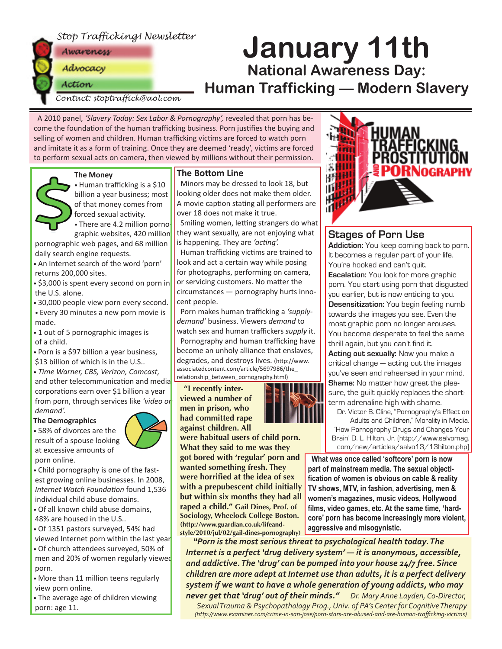



# **January 11th National Awareness Day: Human Trafficking — Modern Slavery**

*Contact: stoptraffick@aol.com*

A 2010 panel, *'Slavery Today: Sex Labor & Pornography',* revealed that porn has become the foundation of the human trafficking business. Porn justifies the buying and selling of women and children. Human trafficking victims are forced to watch porn and imitate it as a form of training. Once they are deemed 'ready', victims are forced to perform sexual acts on camera, then viewed by millions without their permission.

#### **The Money**



• Human trafficking is a \$10 billion a year business; most of that money comes from forced sexual activity.

• There are 4.2 million pornographic websites, 420 million

pornographic web pages, and 68 million daily search engine requests.

- An Internet search of the word 'porn' returns 200,000 sites.
- \$3,000 is spent every second on porn in the U.S. alone.
- 30,000 people view porn every second.

• Every 30 minutes a new porn movie is made.

• 1 out of 5 pornographic images is of a child.

• Porn is a \$97 billion a year business,

\$13 billion of which is in the U.S..

• *Time Warner, CBS, Verizon, Comcast,* and other telecommunication and media corporations earn over \$1 billion a year from porn, through services like *'video on demand'.* 

#### **The Demographics**



• Child pornography is one of the fastest growing online businesses. In 2008, *Internet Watch Founda�on* found 1,536 individual child abuse domains.

- Of all known child abuse domains, 48% are housed in the U.S..
- Of 1351 pastors surveyed, 54% had viewed Internet porn within the last year
- Of church attendees surveyed, 50% of men and 20% of women regularly viewed porn.

• More than 11 million teens regularly view porn online.

• The average age of children viewing porn: age 11.

#### **The Bottom Line**

Minors may be dressed to look 18, but looking older does not make them older. A movie caption stating all performers are over 18 does not make it true.

Smiling women, letting strangers do what they want sexually, are not enjoying what is happening. They are 'acting'.

Human trafficking victims are trained to look and act a certain way while posing for photographs, performing on camera, or servicing customers. No matter the circumstances — pornography hurts innocent people.

Porn makes human trafficking a *'supplydemand'* business. Viewers *demand* to watch sex and human traffickers *supply* it. Pornography and human trafficking have become an unholy alliance that enslaves, degrades, and destroys lives. (http://www. associatedcontent.com/article/5697986/the\_ relationship\_between\_pornography.html)

**"I recently interviewed a number of men in prison, who had committed rape against children. All** 



'How Pornography Drugs and Changes Your Brain' D. L. Hilton, Jr. (http://www.salvomag. com/new/articles/salvo13/13hilton.php)

**What was once called 'softcore' porn is now part of mainstream media. The sexual objectification of women is obvious on cable & reality TV shows, MTV, in fashion, advertising, men & women's magazines, music videos, Hollywood films, video games, etc. At the same time, 'hardcore' porn has become increasingly more violent, aggressive and misogynistic.** 

*"Porn is the most serious threat to psychological health today. The Internet is a perfect 'drug delivery system' — it is anonymous, accessible, and addictive. The 'drug' can be pumped into your house 24/7 free. Since children are more adept at Internet use than adults, it is a perfect delivery system if we want to have a whole generation of young addicts, who may never get that 'drug' out of their minds." Dr. Mary Anne Layden, Co-Director,* 

*Sexual Trauma & Psychopathology Prog., Univ. of PA's Center for Cognitive Therapy (http://www.examiner.com/crime-in-san-jose/porn-stars-are-abused-and-are-human-trafficking-victims)*



#### **Stages of Porn Use**

**Addiction:** You keep coming back to porn. It becomes a regular part of your life. You're hooked and can't quit. **Escalation:** You look for more graphic porn. You start using porn that disgusted you earlier, but is now enticing to you. **Desensitization:** You begin feeling numb towards the images you see. Even the most graphic porn no longer arouses. You become desperate to feel the same thrill again, but you can't find it. **Acting out sexually:** Now you make a critical change — acting out the images you've seen and rehearsed in your mind. **Shame:** No matter how great the pleasure, the guilt quickly replaces the shortterm adrenaline high with shame.

Dr. Victor B. Cline, "Pornography's Effect on Adults and Children," Morality in Media.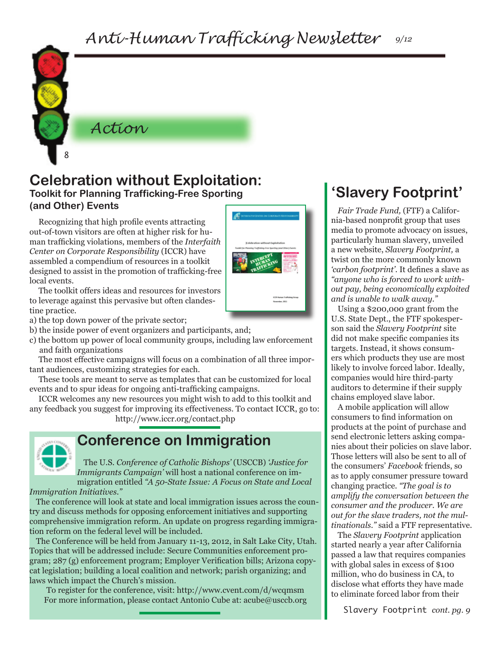

*Action*

#### **Celebration without Exploitation: Toolkit for Planning Trafficking-Free Sporting (and Other) Events**

Recognizing that high profile events attracting out-of-town visitors are often at higher risk for human trafficking violations, members of the *Interfaith Center on Corporate Responsibility* (ICCR) have assembled a compendium of resources in a toolkit designed to assist in the promotion of trafficking-free local events.

The toolkit offers ideas and resources for investors to leverage against this pervasive but often clandestine practice.

a) the top down power of the private sector;

b) the inside power of event organizers and participants, and;

c) the bottom up power of local community groups, including law enforcement and faith organizations

The most effective campaigns will focus on a combination of all three important audiences, customizing strategies for each.

These tools are meant to serve as templates that can be customized for local events and to spur ideas for ongoing anti-trafficking campaigns.

ICCR welcomes any new resources you might wish to add to this toolkit and any feedback you suggest for improving its effectiveness. To contact ICCR, go to:

http://www.iccr.org/contact.php



## **Conference on Immigration**

The U.S. *Conference of Catholic Bishops'* (USCCB) *'Justice for Immigrants Campaign'* will host a national conference on immigration entitled *"A 50-State Issue: A Focus on State and Local Immigration Initiatives."*

The conference will look at state and local immigration issues across the country and discuss methods for opposing enforcement initiatives and supporting comprehensive immigration reform. An update on progress regarding immigration reform on the federal level will be included.

The Conference will be held from January 11-13, 2012, in Salt Lake City, Utah. Topics that will be addressed include: Secure Communities enforcement program; 287 (g) enforcement program; Employer Verification bills; Arizona copycat legislation; building a local coalition and network; parish organizing; and laws which impact the Church's mission.

To register for the conference, visit: http://www.cvent.com/d/wcqmsm For more information, please contact Antonio Cube at: acube@usccb.org

# **'Slavery Footprint'**

*Fair Trade Fund,* (FTF) a California-based nonprofit group that uses media to promote advocacy on issues, particularly human slavery, unveiled a new website, *Slavery Footprint,* a twist on the more commonly known *'carbon footprint'*. It defines a slave as *"anyone who is forced to work without pay, being economically exploited and is unable to walk away."*

Using a \$200,000 grant from the U.S. State Dept., the FTF spokesperson said the *Slavery Footprint* site did not make specific companies its targets. Instead, it shows consumers which products they use are most likely to involve forced labor. Ideally, companies would hire third-party auditors to determine if their supply chains employed slave labor.

A mobile application will allow consumers to find information on products at the point of purchase and send electronic letters asking companies about their policies on slave labor. Those letters will also be sent to all of the consumers' *Facebook* friends, so as to apply consumer pressure toward changing practice. *"The goal is to amplify the conversation between the consumer and the producer. We are out for the slave traders, not the multinationals."* said a FTF representative.

The *Slavery Footprint* application started nearly a year after California passed a law that requires companies with global sales in excess of \$100 million, who do business in CA, to disclose what efforts they have made to eliminate forced labor from their

Slavery Footprint *cont. pg. 9*